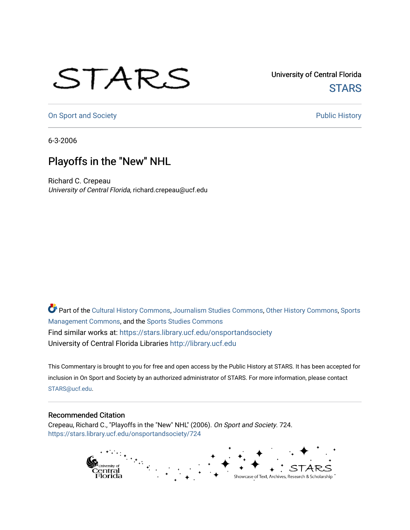## STARS

University of Central Florida **STARS** 

[On Sport and Society](https://stars.library.ucf.edu/onsportandsociety) **Public History** Public History

6-3-2006

## Playoffs in the "New" NHL

Richard C. Crepeau University of Central Florida, richard.crepeau@ucf.edu

Part of the [Cultural History Commons](http://network.bepress.com/hgg/discipline/496?utm_source=stars.library.ucf.edu%2Fonsportandsociety%2F724&utm_medium=PDF&utm_campaign=PDFCoverPages), [Journalism Studies Commons,](http://network.bepress.com/hgg/discipline/333?utm_source=stars.library.ucf.edu%2Fonsportandsociety%2F724&utm_medium=PDF&utm_campaign=PDFCoverPages) [Other History Commons,](http://network.bepress.com/hgg/discipline/508?utm_source=stars.library.ucf.edu%2Fonsportandsociety%2F724&utm_medium=PDF&utm_campaign=PDFCoverPages) [Sports](http://network.bepress.com/hgg/discipline/1193?utm_source=stars.library.ucf.edu%2Fonsportandsociety%2F724&utm_medium=PDF&utm_campaign=PDFCoverPages) [Management Commons](http://network.bepress.com/hgg/discipline/1193?utm_source=stars.library.ucf.edu%2Fonsportandsociety%2F724&utm_medium=PDF&utm_campaign=PDFCoverPages), and the [Sports Studies Commons](http://network.bepress.com/hgg/discipline/1198?utm_source=stars.library.ucf.edu%2Fonsportandsociety%2F724&utm_medium=PDF&utm_campaign=PDFCoverPages) Find similar works at: <https://stars.library.ucf.edu/onsportandsociety> University of Central Florida Libraries [http://library.ucf.edu](http://library.ucf.edu/) 

This Commentary is brought to you for free and open access by the Public History at STARS. It has been accepted for inclusion in On Sport and Society by an authorized administrator of STARS. For more information, please contact [STARS@ucf.edu](mailto:STARS@ucf.edu).

## Recommended Citation

Crepeau, Richard C., "Playoffs in the "New" NHL" (2006). On Sport and Society. 724. [https://stars.library.ucf.edu/onsportandsociety/724](https://stars.library.ucf.edu/onsportandsociety/724?utm_source=stars.library.ucf.edu%2Fonsportandsociety%2F724&utm_medium=PDF&utm_campaign=PDFCoverPages)

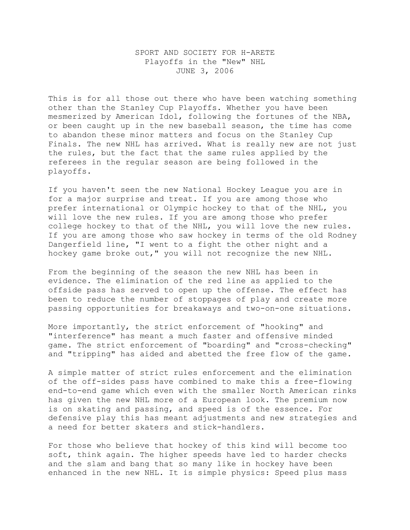## SPORT AND SOCIETY FOR H-ARETE Playoffs in the "New" NHL JUNE 3, 2006

This is for all those out there who have been watching something other than the Stanley Cup Playoffs. Whether you have been mesmerized by American Idol, following the fortunes of the NBA, or been caught up in the new baseball season, the time has come to abandon these minor matters and focus on the Stanley Cup Finals. The new NHL has arrived. What is really new are not just the rules, but the fact that the same rules applied by the referees in the regular season are being followed in the playoffs.

If you haven't seen the new National Hockey League you are in for a major surprise and treat. If you are among those who prefer international or Olympic hockey to that of the NHL, you will love the new rules. If you are among those who prefer college hockey to that of the NHL, you will love the new rules. If you are among those who saw hockey in terms of the old Rodney Dangerfield line, "I went to a fight the other night and a hockey game broke out," you will not recognize the new NHL.

From the beginning of the season the new NHL has been in evidence. The elimination of the red line as applied to the offside pass has served to open up the offense. The effect has been to reduce the number of stoppages of play and create more passing opportunities for breakaways and two-on-one situations.

More importantly, the strict enforcement of "hooking" and "interference" has meant a much faster and offensive minded game. The strict enforcement of "boarding" and "cross-checking" and "tripping" has aided and abetted the free flow of the game.

A simple matter of strict rules enforcement and the elimination of the off-sides pass have combined to make this a free-flowing end-to-end game which even with the smaller North American rinks has given the new NHL more of a European look. The premium now is on skating and passing, and speed is of the essence. For defensive play this has meant adjustments and new strategies and a need for better skaters and stick-handlers.

For those who believe that hockey of this kind will become too soft, think again. The higher speeds have led to harder checks and the slam and bang that so many like in hockey have been enhanced in the new NHL. It is simple physics: Speed plus mass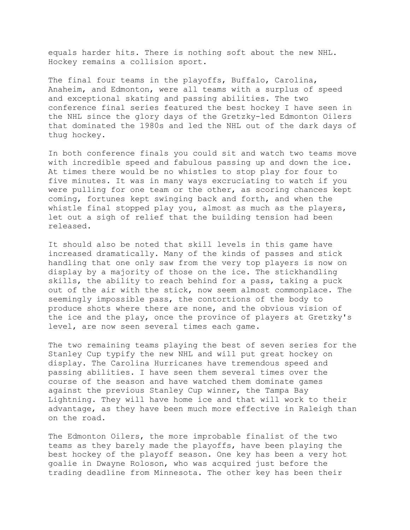equals harder hits. There is nothing soft about the new NHL. Hockey remains a collision sport.

The final four teams in the playoffs, Buffalo, Carolina, Anaheim, and Edmonton, were all teams with a surplus of speed and exceptional skating and passing abilities. The two conference final series featured the best hockey I have seen in the NHL since the glory days of the Gretzky-led Edmonton Oilers that dominated the 1980s and led the NHL out of the dark days of thug hockey.

In both conference finals you could sit and watch two teams move with incredible speed and fabulous passing up and down the ice. At times there would be no whistles to stop play for four to five minutes. It was in many ways excruciating to watch if you were pulling for one team or the other, as scoring chances kept coming, fortunes kept swinging back and forth, and when the whistle final stopped play you, almost as much as the players, let out a sigh of relief that the building tension had been released.

It should also be noted that skill levels in this game have increased dramatically. Many of the kinds of passes and stick handling that one only saw from the very top players is now on display by a majority of those on the ice. The stickhandling skills, the ability to reach behind for a pass, taking a puck out of the air with the stick, now seem almost commonplace. The seemingly impossible pass, the contortions of the body to produce shots where there are none, and the obvious vision of the ice and the play, once the province of players at Gretzky's level, are now seen several times each game.

The two remaining teams playing the best of seven series for the Stanley Cup typify the new NHL and will put great hockey on display. The Carolina Hurricanes have tremendous speed and passing abilities. I have seen them several times over the course of the season and have watched them dominate games against the previous Stanley Cup winner, the Tampa Bay Lightning. They will have home ice and that will work to their advantage, as they have been much more effective in Raleigh than on the road.

The Edmonton Oilers, the more improbable finalist of the two teams as they barely made the playoffs, have been playing the best hockey of the playoff season. One key has been a very hot goalie in Dwayne Roloson, who was acquired just before the trading deadline from Minnesota. The other key has been their